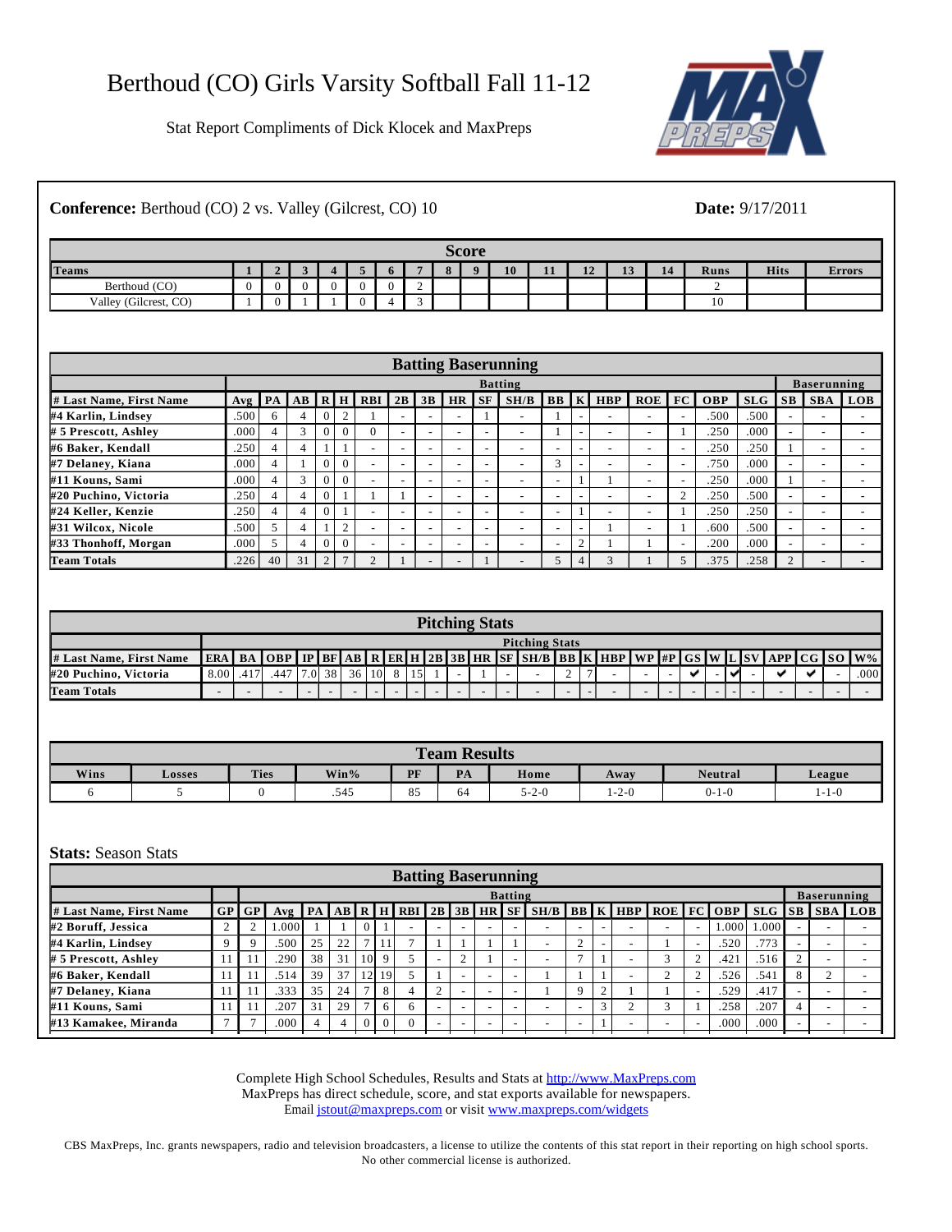Stat Report Compliments of Dick Klocek and MaxPreps



## **Conference:** Berthoud (CO) 2 vs. Valley (Gilcrest, CO) 10 **Date:** 9/17/2011

|                       |            |  |  |   |           | <b>Score</b> |    |                 |    |          |    |      |             |               |
|-----------------------|------------|--|--|---|-----------|--------------|----|-----------------|----|----------|----|------|-------------|---------------|
| Teams                 | $\epsilon$ |  |  |   | $\bullet$ | $\mathbf{r}$ | 10 | $-1 - 1$<br>-11 | 12 | 12<br>13 | 14 | Runs | <b>Hits</b> | <b>Errors</b> |
| Berthoud (CO)         | .,         |  |  | ∼ |           |              |    |                 |    |          |    |      |             |               |
| Valley (Gilcrest, CO) | .,         |  |  |   |           |              |    |                 |    |          |    | 10   |             |               |

|                         |                                                                                                                           |                |    |          |          |                          |                          |                          |  |                          | <b>Batting Baserunning</b> |                          |                          |                          |    |                          |            |      |                          |                          |  |
|-------------------------|---------------------------------------------------------------------------------------------------------------------------|----------------|----|----------|----------|--------------------------|--------------------------|--------------------------|--|--------------------------|----------------------------|--------------------------|--------------------------|--------------------------|----|--------------------------|------------|------|--------------------------|--------------------------|--|
|                         |                                                                                                                           |                |    |          |          |                          |                          |                          |  |                          | <b>Batting</b>             |                          |                          |                          |    |                          |            |      |                          | <b>Baserunning</b>       |  |
| # Last Name, First Name | <b>BB</b> K HBP<br>SH/B<br>$S$ F<br>FC 1<br>$Avg$ $PA$ $AB$<br>RHRBI<br>ROE<br><b>OBP</b><br>SLG<br>2B<br>3B<br><b>HR</b> |                |    |          |          |                          |                          |                          |  |                          |                            |                          |                          |                          | SB | <b>SBA</b>               | <b>LOB</b> |      |                          |                          |  |
| #4 Karlin, Lindsey      | .500                                                                                                                      | 6              |    |          | $\sim$   |                          |                          | $\overline{\phantom{a}}$ |  |                          | $\overline{\phantom{a}}$   |                          |                          | $\overline{\phantom{a}}$ |    |                          | .500       | .500 |                          |                          |  |
| # 5 Prescott, Ashley    | .000'                                                                                                                     | 4              |    |          | $\Omega$ |                          | -                        |                          |  | -                        | $\overline{\phantom{a}}$   |                          |                          | $\overline{\phantom{a}}$ |    |                          | .250       | .000 |                          | ۰                        |  |
| #6 Baker, Kendall       | .250                                                                                                                      | 4              |    |          |          | $\overline{\phantom{a}}$ | -                        | $\overline{\phantom{0}}$ |  | $\overline{\phantom{a}}$ | $\overline{\phantom{a}}$   | $\overline{\phantom{a}}$ |                          | $\overline{\phantom{0}}$ | -  | $\overline{\phantom{a}}$ | .250       | .250 |                          | $\overline{\phantom{a}}$ |  |
| #7 Delaney, Kiana       | .000                                                                                                                      | 4              |    |          | $\theta$ |                          | -                        |                          |  | $\overline{\phantom{a}}$ | $\overline{\phantom{a}}$   | $\sim$                   |                          | $\overline{\phantom{0}}$ |    | $\overline{\phantom{a}}$ | .750       | .000 | $\overline{\phantom{a}}$ | $\overline{\phantom{a}}$ |  |
| #11 Kouns, Sami         | .000                                                                                                                      | 4              |    | $\theta$ | $\Omega$ | $\overline{\phantom{a}}$ | -                        | -                        |  | -                        | $\overline{\phantom{a}}$   | $\overline{\phantom{a}}$ |                          |                          | ۰  | ۰                        | .250       | .000 |                          | $\overline{\phantom{0}}$ |  |
| #20 Puchino, Victoria   | .250                                                                                                                      | 4              |    |          |          |                          |                          | $\overline{\phantom{0}}$ |  | -                        | $\overline{\phantom{a}}$   | $\overline{\phantom{a}}$ | $\overline{\phantom{a}}$ | $\overline{\phantom{0}}$ | -  | ◠                        | .250       | .500 | $\overline{\phantom{a}}$ | $\overline{\phantom{a}}$ |  |
| #24 Keller, Kenzie      | .250                                                                                                                      | $\overline{4}$ |    |          |          |                          | $\overline{\phantom{a}}$ | $\overline{\phantom{0}}$ |  | $\overline{\phantom{a}}$ | $\overline{\phantom{a}}$   | $\overline{\phantom{a}}$ |                          | $\overline{\phantom{a}}$ | -  |                          | .250       | .250 | $\overline{\phantom{a}}$ | $\overline{\phantom{a}}$ |  |
| #31 Wilcox, Nicole      | .500                                                                                                                      |                |    |          | $\sim$   | $\overline{\phantom{a}}$ | -                        | $\overline{\phantom{0}}$ |  | $\overline{\phantom{a}}$ | $\overline{\phantom{a}}$   | $\overline{\phantom{a}}$ | $\overline{\phantom{a}}$ |                          |    |                          | .600       | .500 | $\overline{\phantom{a}}$ | $\overline{\phantom{a}}$ |  |
| #33 Thonhoff, Morgan    | .000 <sub>1</sub>                                                                                                         | 5              |    | $\theta$ | $\Omega$ | $\overline{\phantom{a}}$ |                          | $\overline{\phantom{0}}$ |  | $\overline{\phantom{a}}$ | $\overline{\phantom{a}}$   | $\overline{\phantom{a}}$ |                          |                          |    |                          | .200       | .000 |                          | -                        |  |
| <b>Team Totals</b>      | .226                                                                                                                      | 40             | 31 | $\Omega$ |          |                          |                          |                          |  |                          | $\overline{\phantom{0}}$   |                          |                          | $\sqrt{2}$               |    |                          | .375       | .258 |                          |                          |  |

|                         |           |                       |      |  |          |         |  |  |         |                          |  | <b>Pitching Stats</b> |  |                                                                                                                                       |   |  |  |        |                |  |  |  |      |
|-------------------------|-----------|-----------------------|------|--|----------|---------|--|--|---------|--------------------------|--|-----------------------|--|---------------------------------------------------------------------------------------------------------------------------------------|---|--|--|--------|----------------|--|--|--|------|
|                         |           | <b>Pitching Stats</b> |      |  |          |         |  |  |         |                          |  |                       |  |                                                                                                                                       |   |  |  |        |                |  |  |  |      |
| # Last Name, First Name |           |                       |      |  |          |         |  |  |         |                          |  |                       |  | ERA   BA   OBP   IP   BF   AB   R   ER   H   2B   3B   HR   SF   SH/B   BB   K   HBP   WP   #P   GS   W   L   SV   APP   CG   SO   W% |   |  |  |        |                |  |  |  |      |
| #20 Puchino, Victoria   | 8.00 .417 |                       | .447 |  | 17.01381 | 36   10 |  |  | 8 1 1 5 |                          |  |                       |  |                                                                                                                                       | ∼ |  |  |        | $\overline{a}$ |  |  |  | .000 |
| <b>Team Totals</b>      |           |                       |      |  |          |         |  |  |         | $\overline{\phantom{0}}$ |  |                       |  |                                                                                                                                       |   |  |  | $\sim$ |                |  |  |  |      |

|      |        |             |         |    | <b>Team Results</b> |             |                   |                |             |  |  |
|------|--------|-------------|---------|----|---------------------|-------------|-------------------|----------------|-------------|--|--|
| Wins | Losses | <b>Ties</b> | $Win\%$ | PF | PA                  | Home        | Away              | <b>Neutral</b> | League      |  |  |
|      |        |             | .545    | 85 | 64                  | $5 - 2 - 0$ | $\Omega$<br>1-2-0 | $0 - 1 - 0$    | $1 - 1 - 0$ |  |  |

## **Stats:** Season Stats

|                                                                                                                                                                                      | <b>Batting Baserunning</b><br><b>Baserunning</b> |      |  |                          |  |  |  |  |  |  |  |  |  |  |  |
|--------------------------------------------------------------------------------------------------------------------------------------------------------------------------------------|--------------------------------------------------|------|--|--------------------------|--|--|--|--|--|--|--|--|--|--|--|
| <b>Batting</b>                                                                                                                                                                       |                                                  |      |  |                          |  |  |  |  |  |  |  |  |  |  |  |
| $Avg$ $PA$ $AB$ $R$ $H$ $RBI$ $2B$ $3B$ $HR$ $S$ $H$ $S$ $B$ $B$ $K$ $H$ $BB$ $R$ $C$ $D$ $C$ $C$ $D$ $S$ $D$ $S$ $S$ $S$ $B$ $A$ $L$ $D$ $B$<br>GP<br>GP<br># Last Name, First Name |                                                  |      |  |                          |  |  |  |  |  |  |  |  |  |  |  |
| #2 Boruff, Jessica<br>.000.<br>$\Omega$<br>-<br>-<br>$\overline{\phantom{0}}$<br>$\overline{\phantom{0}}$<br>$\overline{\phantom{0}}$                                                | 0.000                                            | .000 |  | $\overline{\phantom{0}}$ |  |  |  |  |  |  |  |  |  |  |  |
| 25<br>#4 Karlin, Lindsey<br>.500<br>22<br>$\sim$<br>11'<br>-                                                                                                                         | .773<br>.520                                     |      |  | $\overline{\phantom{0}}$ |  |  |  |  |  |  |  |  |  |  |  |
| 9<br>38<br>31<br>10 <sup>1</sup><br>.290<br># 5 Prescott, Ashley<br>$\sim$<br>$\sim$<br>-                                                                                            | .421                                             | .516 |  | $\overline{\phantom{0}}$ |  |  |  |  |  |  |  |  |  |  |  |
| 39<br>37<br>19<br>#6 Baker, Kendall<br>12<br>.514<br>$\overline{\phantom{0}}$                                                                                                        | .526<br>.541                                     |      |  |                          |  |  |  |  |  |  |  |  |  |  |  |
| 35<br>8<br>.333<br>#7 Delaney, Kiana<br>24<br>$\sim$<br>$\sim$<br>$\Omega$<br>4<br>-                                                                                                 | .529<br>.417                                     |      |  | $\overline{\phantom{0}}$ |  |  |  |  |  |  |  |  |  |  |  |
| #11 Kouns, Sami<br>.207<br>31<br>29<br>$\sqrt{2}$<br>6<br>6<br>-<br>-<br>-                                                                                                           | .258<br>.207                                     |      |  | $\overline{\phantom{0}}$ |  |  |  |  |  |  |  |  |  |  |  |
| #13 Kamakee, Miranda<br>.000<br>$\Omega$<br>$\Omega$<br>$\Omega$<br>-<br>$\overline{\phantom{0}}$<br>$\overline{\phantom{0}}$<br>-                                                   | .000<br>.000                                     |      |  | $\overline{\phantom{0}}$ |  |  |  |  |  |  |  |  |  |  |  |

Complete High School Schedules, Results and Stats at http://www.MaxPreps.com MaxPreps has direct schedule, score, and stat exports available for newspapers. Email jstout@maxpreps.com or visit www.maxpreps.com/widgets

CBS MaxPreps, Inc. grants newspapers, radio and television broadcasters, a license to utilize the contents of this stat report in their reporting on high school sports. No other commercial license is authorized.